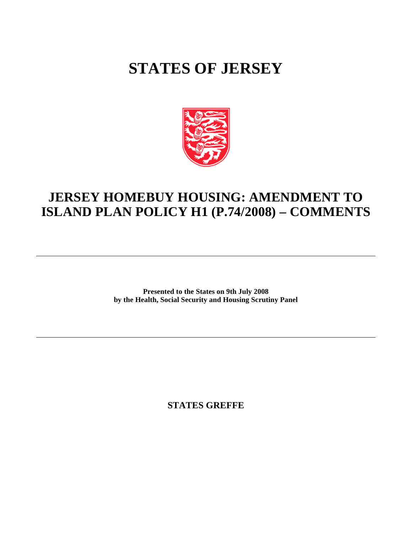# **STATES OF JERSEY**



## **JERSEY HOMEBUY HOUSING: AMENDMENT TO ISLAND PLAN POLICY H1 (P.74/2008) – COMMENTS**

**Presented to the States on 9th July 2008 by the Health, Social Security and Housing Scrutiny Panel**

**STATES GREFFE**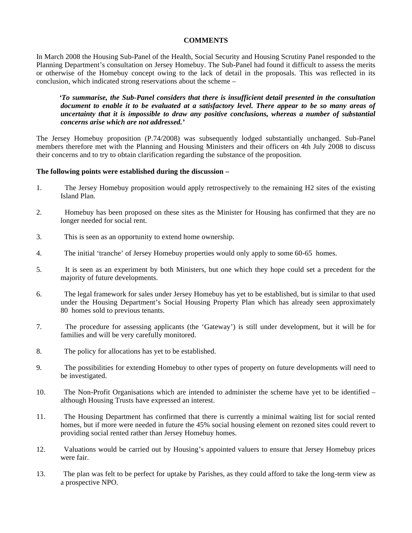### **COMMENTS**

In March 2008 the Housing Sub-Panel of the Health, Social Security and Housing Scrutiny Panel responded to the Planning Department's consultation on Jersey Homebuy. The Sub-Panel had found it difficult to assess the merits or otherwise of the Homebuy concept owing to the lack of detail in the proposals. This was reflected in its conclusion, which indicated strong reservations about the scheme –

 *'To summarise, the Sub-Panel considers that there is insufficient detail presented in the consultation document to enable it to be evaluated at a satisfactory level. There appear to be so many areas of uncertainty that it is impossible to draw any positive conclusions, whereas a number of substantial concerns arise which are not addressed.'*

The Jersey Homebuy proposition (P.74/2008) was subsequently lodged substantially unchanged. Sub-Panel members therefore met with the Planning and Housing Ministers and their officers on 4th July 2008 to discuss their concerns and to try to obtain clarification regarding the substance of the proposition.

#### **The following points were established during the discussion –**

- 1. The Jersey Homebuy proposition would apply retrospectively to the remaining H2 sites of the existing Island Plan.
- 2. Homebuy has been proposed on these sites as the Minister for Housing has confirmed that they are no longer needed for social rent.
- 3. This is seen as an opportunity to extend home ownership.
- 4. The initial 'tranche' of Jersey Homebuy properties would only apply to some 60-65 homes.
- 5. It is seen as an experiment by both Ministers, but one which they hope could set a precedent for the majority of future developments.
- 6. The legal framework for sales under Jersey Homebuy has yet to be established, but is similar to that used under the Housing Department's Social Housing Property Plan which has already seen approximately 80 homes sold to previous tenants.
- 7. The procedure for assessing applicants (the 'Gateway') is still under development, but it will be for families and will be very carefully monitored.
- 8. The policy for allocations has yet to be established.
- 9. The possibilities for extending Homebuy to other types of property on future developments will need to be investigated.
- 10. The Non-Profit Organisations which are intended to administer the scheme have yet to be identified although Housing Trusts have expressed an interest.
- 11. The Housing Department has confirmed that there is currently a minimal waiting list for social rented homes, but if more were needed in future the 45% social housing element on rezoned sites could revert to providing social rented rather than Jersey Homebuy homes.
- 12. Valuations would be carried out by Housing's appointed valuers to ensure that Jersey Homebuy prices were fair.
- 13. The plan was felt to be perfect for uptake by Parishes, as they could afford to take the long-term view as a prospective NPO.